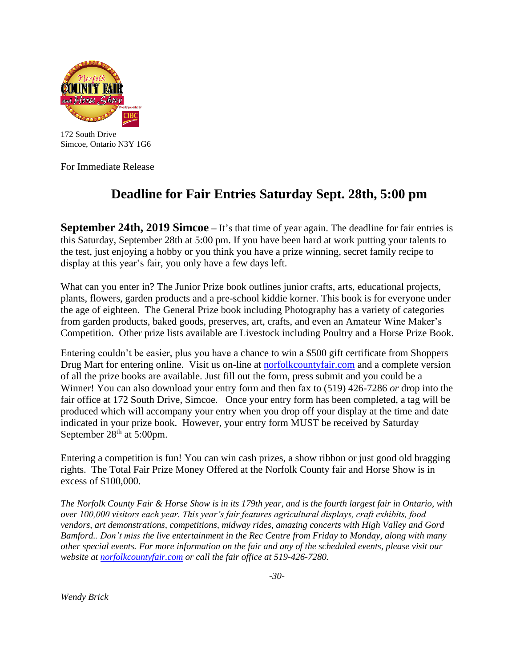

172 South Drive Simcoe, Ontario N3Y 1G6

For Immediate Release

## **Deadline for Fair Entries Saturday Sept. 28th, 5:00 pm**

**September 24th, 2019 Simcoe –** It's that time of year again. The deadline for fair entries is this Saturday, September 28th at 5:00 pm. If you have been hard at work putting your talents to the test, just enjoying a hobby or you think you have a prize winning, secret family recipe to display at this year's fair, you only have a few days left.

What can you enter in? The Junior Prize book outlines junior crafts, arts, educational projects, plants, flowers, garden products and a pre-school kiddie korner. This book is for everyone under the age of eighteen. The General Prize book including Photography has a variety of categories from garden products, baked goods, preserves, art, crafts, and even an Amateur Wine Maker's Competition. Other prize lists available are Livestock including Poultry and a Horse Prize Book.

Entering couldn't be easier, plus you have a chance to win a \$500 gift certificate from Shoppers Drug Mart for entering online. Visit us on-line at **norfolkcountyfair.com** and a complete version of all the prize books are available. Just fill out the form, press submit and you could be a Winner! You can also download your entry form and then fax to (519) 426-7286 *or* drop into the fair office at 172 South Drive, Simcoe. Once your entry form has been completed, a tag will be produced which will accompany your entry when you drop off your display at the time and date indicated in your prize book. However, your entry form MUST be received by Saturday September  $28<sup>th</sup>$  at 5:00pm.

Entering a competition is fun! You can win cash prizes, a show ribbon or just good old bragging rights. The Total Fair Prize Money Offered at the Norfolk County fair and Horse Show is in excess of \$100,000.

*The Norfolk County Fair & Horse Show is in its 179th year, and is the fourth largest fair in Ontario, with over 100,000 visitors each year. This year's fair features agricultural displays, craft exhibits, food vendors, art demonstrations, competitions, midway rides, amazing concerts with High Valley and Gord Bamford.. Don't miss the live entertainment in the Rec Centre from Friday to Monday, along with many other special events. For more information on the fair and any of the scheduled events, please visit our website at [norfolkcountyfair.com](http://www.norfolkcountyfair.com/) or call the fair office at 519-426-7280.*

 *-30-*

*Wendy Brick*